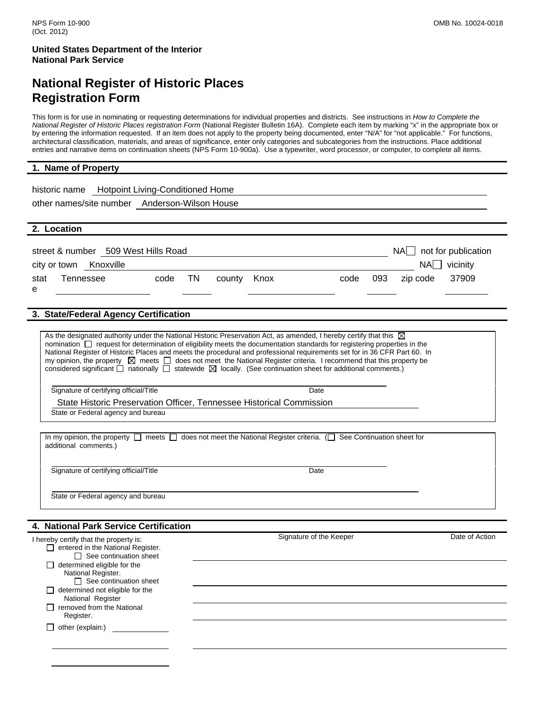### **National Register of Historic Places Registration Form**

This form is for use in nominating or requesting determinations for individual properties and districts. See instructions in *How to Complete the National Register of Historic Places registration Form* (National Register Bulletin 16A). Complete each item by marking "x" in the appropriate box or by entering the information requested. If an item does not apply to the property being documented, enter "N/A" for "not applicable." For functions, architectural classification, materials, and areas of significance, enter only categories and subcategories from the instructions. Place additional entries and narrative items on continuation sheets (NPS Form 10-900a). Use a typewriter, word processor, or computer, to complete all items.

#### **1. Name of Property**

| <b>Hotpoint Living-Conditioned Home</b><br>historic name<br>other names/site number Anderson-Wilson House                                                                                                                                                                                                                                                                                                                                                                                                                                                                                                                                                                                                                                                                                                                                                                                                                                                                                                                                       |                                           |
|-------------------------------------------------------------------------------------------------------------------------------------------------------------------------------------------------------------------------------------------------------------------------------------------------------------------------------------------------------------------------------------------------------------------------------------------------------------------------------------------------------------------------------------------------------------------------------------------------------------------------------------------------------------------------------------------------------------------------------------------------------------------------------------------------------------------------------------------------------------------------------------------------------------------------------------------------------------------------------------------------------------------------------------------------|-------------------------------------------|
|                                                                                                                                                                                                                                                                                                                                                                                                                                                                                                                                                                                                                                                                                                                                                                                                                                                                                                                                                                                                                                                 |                                           |
| 2. Location                                                                                                                                                                                                                                                                                                                                                                                                                                                                                                                                                                                                                                                                                                                                                                                                                                                                                                                                                                                                                                     |                                           |
| street & number 509 West Hills Road<br>city or town Knoxville                                                                                                                                                                                                                                                                                                                                                                                                                                                                                                                                                                                                                                                                                                                                                                                                                                                                                                                                                                                   | $NA$ not for publication<br>$NA$ vicinity |
| Tennessee<br>TN<br>code<br>county Knox<br>code<br>093<br>stat<br>е                                                                                                                                                                                                                                                                                                                                                                                                                                                                                                                                                                                                                                                                                                                                                                                                                                                                                                                                                                              | 37909<br>zip code                         |
| 3. State/Federal Agency Certification                                                                                                                                                                                                                                                                                                                                                                                                                                                                                                                                                                                                                                                                                                                                                                                                                                                                                                                                                                                                           |                                           |
| As the designated authority under the National Historic Preservation Act, as amended, I hereby certify that this $\boxtimes$<br>nomination □ request for determination of eligibility meets the documentation standards for registering properties in the<br>National Register of Historic Places and meets the procedural and professional requirements set for in 36 CFR Part 60. In<br>my opinion, the property $\boxtimes$ meets $\Box$ does not meet the National Register criteria. I recommend that this property be<br>considered significant $\Box$ nationally $\Box$ statewide $\boxtimes$ locally. (See continuation sheet for additional comments.)<br>Signature of certifying official/Title<br>Date<br>State Historic Preservation Officer, Tennessee Historical Commission<br>State or Federal agency and bureau<br>In my opinion, the property $\Box$ meets $\Box$ does not meet the National Register criteria. ( $\Box$ See Continuation sheet for<br>additional comments.)<br>Signature of certifying official/Title<br>Date |                                           |
| State or Federal agency and bureau                                                                                                                                                                                                                                                                                                                                                                                                                                                                                                                                                                                                                                                                                                                                                                                                                                                                                                                                                                                                              |                                           |
|                                                                                                                                                                                                                                                                                                                                                                                                                                                                                                                                                                                                                                                                                                                                                                                                                                                                                                                                                                                                                                                 |                                           |
| 4. National Park Service Certification                                                                                                                                                                                                                                                                                                                                                                                                                                                                                                                                                                                                                                                                                                                                                                                                                                                                                                                                                                                                          |                                           |
| Signature of the Keeper<br>I hereby certify that the property is:<br>$\Box$ entered in the National Register.<br>$\Box$ See continuation sheet<br>determined eligible for the<br>National Register.<br>$\Box$ See continuation sheet                                                                                                                                                                                                                                                                                                                                                                                                                                                                                                                                                                                                                                                                                                                                                                                                            | Date of Action                            |
| determined not eligible for the                                                                                                                                                                                                                                                                                                                                                                                                                                                                                                                                                                                                                                                                                                                                                                                                                                                                                                                                                                                                                 |                                           |

 Register.  $\Box$  other (explain:)

 National Register  $\Box$  removed from the National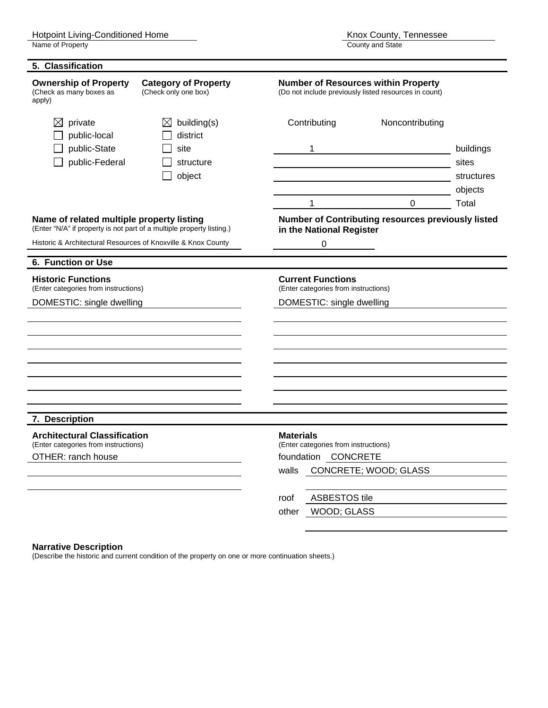| <b>Ownership of Property</b><br>(Check as many boxes as<br>apply)                                                  | <b>Category of Property</b><br>(Check only one box)                | <b>Number of Resources within Property</b><br>(Do not include previously listed resources in count)            |                 |                                             |
|--------------------------------------------------------------------------------------------------------------------|--------------------------------------------------------------------|----------------------------------------------------------------------------------------------------------------|-----------------|---------------------------------------------|
| private<br>⊠<br>public-local<br>public-State<br>public-Federal                                                     | $\boxtimes$ building(s)<br>district<br>site<br>structure<br>object | Contributing<br>$\mathbf 1$                                                                                    | Noncontributing | buildings<br>sites<br>structures<br>objects |
|                                                                                                                    |                                                                    | $\mathbf 1$                                                                                                    | $\Omega$        | Total                                       |
| Name of related multiple property listing<br>(Enter "N/A" if property is not part of a multiple property listing.) |                                                                    | <b>Number of Contributing resources previously listed</b><br>in the National Register                          |                 |                                             |
| Historic & Architectural Resources of Knoxville & Knox County                                                      |                                                                    | $\mathbf 0$                                                                                                    |                 |                                             |
| 6. Function or Use                                                                                                 |                                                                    |                                                                                                                |                 |                                             |
| <b>Historic Functions</b><br>(Enter categories from instructions)<br>DOMESTIC: single dwelling                     |                                                                    | <b>Current Functions</b><br>(Enter categories from instructions)<br>DOMESTIC: single dwelling                  |                 |                                             |
|                                                                                                                    |                                                                    |                                                                                                                |                 |                                             |
|                                                                                                                    |                                                                    |                                                                                                                |                 |                                             |
| 7. Description                                                                                                     |                                                                    |                                                                                                                |                 |                                             |
| <b>Architectural Classification</b><br>(Enter categories from instructions)<br>OTHER: ranch house                  |                                                                    | <b>Materials</b><br>(Enter categories from instructions)<br>foundation CONCRETE<br>walls CONCRETE; WOOD; GLASS |                 |                                             |
|                                                                                                                    |                                                                    |                                                                                                                |                 |                                             |
|                                                                                                                    |                                                                    | ASBESTOS tile<br>roof                                                                                          |                 |                                             |
|                                                                                                                    |                                                                    | WOOD; GLASS<br>other                                                                                           |                 |                                             |

#### **Narrative Description**

(Describe the historic and current condition of the property on one or more continuation sheets.)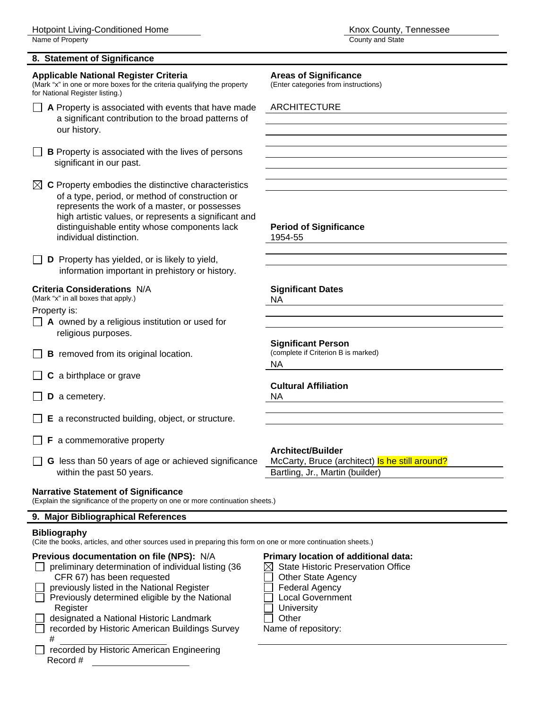| Knox County, Tennessee |  |
|------------------------|--|
| County and State       |  |

| Name of Property                                                                                                                                                                                                                                                                                         | County and State                                                                                              |  |  |  |  |
|----------------------------------------------------------------------------------------------------------------------------------------------------------------------------------------------------------------------------------------------------------------------------------------------------------|---------------------------------------------------------------------------------------------------------------|--|--|--|--|
| 8. Statement of Significance                                                                                                                                                                                                                                                                             |                                                                                                               |  |  |  |  |
| <b>Applicable National Register Criteria</b><br>(Mark "x" in one or more boxes for the criteria qualifying the property<br>for National Register listing.)                                                                                                                                               | <b>Areas of Significance</b><br>(Enter categories from instructions)                                          |  |  |  |  |
| A Property is associated with events that have made<br>a significant contribution to the broad patterns of<br>our history.                                                                                                                                                                               | <b>ARCHITECTURE</b>                                                                                           |  |  |  |  |
| <b>B</b> Property is associated with the lives of persons<br>significant in our past.                                                                                                                                                                                                                    |                                                                                                               |  |  |  |  |
| C Property embodies the distinctive characteristics<br>$\bowtie$<br>of a type, period, or method of construction or<br>represents the work of a master, or possesses<br>high artistic values, or represents a significant and<br>distinguishable entity whose components lack<br>individual distinction. | <b>Period of Significance</b><br>1954-55<br><u> 1989 - Johann John Stein, fransk politik (d. 1989)</u>        |  |  |  |  |
| D Property has yielded, or is likely to yield,<br>information important in prehistory or history.                                                                                                                                                                                                        |                                                                                                               |  |  |  |  |
| <b>Criteria Considerations N/A</b><br>(Mark "x" in all boxes that apply.)                                                                                                                                                                                                                                | <b>Significant Dates</b><br>NA                                                                                |  |  |  |  |
| Property is:<br>A owned by a religious institution or used for<br>religious purposes.                                                                                                                                                                                                                    |                                                                                                               |  |  |  |  |
| <b>B</b> removed from its original location.                                                                                                                                                                                                                                                             | <b>Significant Person</b><br>(complete if Criterion B is marked)<br><b>NA</b>                                 |  |  |  |  |
| C a birthplace or grave                                                                                                                                                                                                                                                                                  |                                                                                                               |  |  |  |  |
| D a cemetery.                                                                                                                                                                                                                                                                                            | <b>Cultural Affiliation</b><br><b>NA</b>                                                                      |  |  |  |  |
| E a reconstructed building, object, or structure.                                                                                                                                                                                                                                                        |                                                                                                               |  |  |  |  |
| —  —<br>F a commemorative property                                                                                                                                                                                                                                                                       |                                                                                                               |  |  |  |  |
| G less than 50 years of age or achieved significance<br>within the past 50 years.                                                                                                                                                                                                                        | <b>Architect/Builder</b><br>McCarty, Bruce (architect) Is he still around?<br>Bartling, Jr., Martin (builder) |  |  |  |  |
| <b>Narrative Statement of Significance</b><br>(Explain the significance of the property on one or more continuation sheets.)                                                                                                                                                                             |                                                                                                               |  |  |  |  |
| 9. Major Bibliographical References                                                                                                                                                                                                                                                                      |                                                                                                               |  |  |  |  |
| <b>Bibliography</b><br>(Cite the books, articles, and other sources used in preparing this form on one or more continuation sheets.)                                                                                                                                                                     |                                                                                                               |  |  |  |  |
| Previous documentation on file (NPS): N/A<br>preliminary determination of individual listing (36                                                                                                                                                                                                         | Primary location of additional data:<br><b>State Historic Preservation Office</b><br>$\bowtie$                |  |  |  |  |

- CFR 67) has been requested  $\Box$  Other State Agency<br>
Directiously listed in the National Register  $\Box$  Federal Agency
- $\Box$  Previously determined eligible by the National  $\Box$  Local Government
	-
	- Register<br>
	lesignated a National Historic Landmark<br>  $\Box$ Other

#### □ recorded by Historic American Buildings Survey Name of repository:

 # □ recorded by Historic American Engineering Record #

 $\Box$  previously listed in the National Register

 $\Box$  designated a National Historic Landmark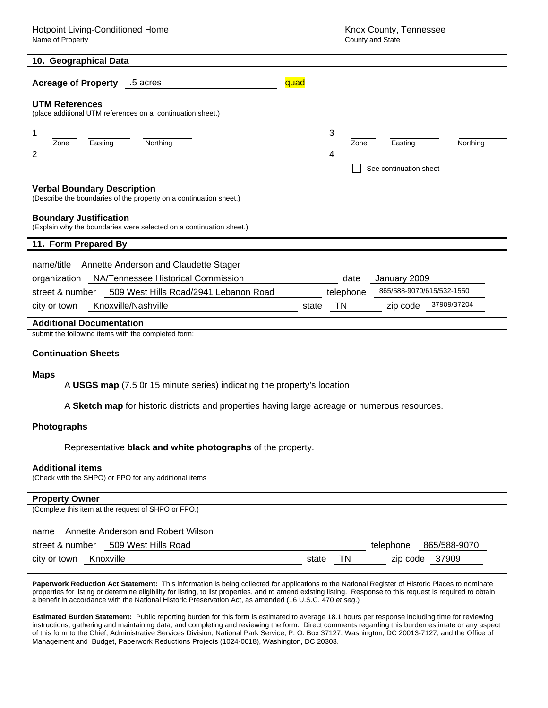Name of Property

**10. Geographical Data** 

| County and State |  |
|------------------|--|
|------------------|--|

| 10. Geographical Data                                                                                    |                                                                 |
|----------------------------------------------------------------------------------------------------------|-----------------------------------------------------------------|
| <b>Acreage of Property</b><br>.5 acres                                                                   | quad                                                            |
| <b>UTM References</b><br>(place additional UTM references on a continuation sheet.)                      |                                                                 |
| Northing<br>Zone<br>Easting<br>2                                                                         | 3<br>Northing<br>Zone<br>Easting<br>4<br>See continuation sheet |
| <b>Verbal Boundary Description</b><br>(Describe the boundaries of the property on a continuation sheet.) |                                                                 |
| <b>Boundary Justification</b><br>(Explain why the boundaries were selected on a continuation sheet.)     |                                                                 |
| 11. Form Prepared By                                                                                     |                                                                 |
| Annette Anderson and Claudette Stager<br>name/title                                                      |                                                                 |
| NA/Tennessee Historical Commission<br>organization                                                       | date<br>January 2009                                            |
| 509 West Hills Road/2941 Lebanon Road<br>street & number                                                 | 865/588-9070/615/532-1550<br>telephone                          |
| Knoxville/Nashville<br>city or town                                                                      | 37909/37204<br><b>TN</b><br>state<br>zip code                   |
| <b>Additional Documentation</b>                                                                          |                                                                 |

submit the following items with the completed form:

#### **Continuation Sheets**

#### **Maps**

A **USGS map** (7.5 0r 15 minute series) indicating the property's location

A **Sketch map** for historic districts and properties having large acreage or numerous resources.

#### **Photographs**

Representative **black and white photographs** of the property.

#### **Additional items**

(Check with the SHPO) or FPO for any additional items

#### **Property Owner**

(Complete this item at the request of SHPO or FPO.)

#### name Annette Anderson and Robert Wilson

| street & number        | 509 West Hills Road |       |    | telephone      | 865/588-9070 |
|------------------------|---------------------|-------|----|----------------|--------------|
| city or town Knoxville |                     | state | ΤN | zip code 37909 |              |

**Paperwork Reduction Act Statement:** This information is being collected for applications to the National Register of Historic Places to nominate properties for listing or determine eligibility for listing, to list properties, and to amend existing listing. Response to this request is required to obtain a benefit in accordance with the National Historic Preservation Act, as amended (16 U.S.C. 470 *et seq.*)

**Estimated Burden Statement:** Public reporting burden for this form is estimated to average 18.1 hours per response including time for reviewing instructions, gathering and maintaining data, and completing and reviewing the form. Direct comments regarding this burden estimate or any aspect of this form to the Chief, Administrative Services Division, National Park Service, P. O. Box 37127, Washington, DC 20013-7127; and the Office of Management and Budget, Paperwork Reductions Projects (1024-0018), Washington, DC 20303.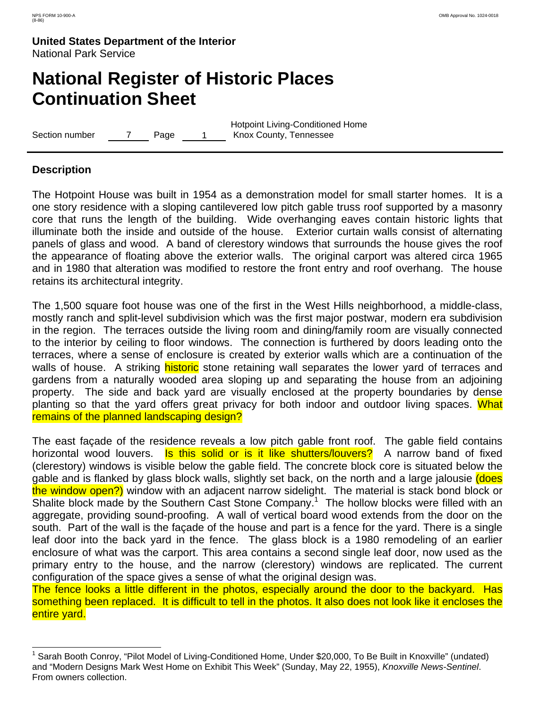## **National Register of Historic Places Continuation Sheet**

Section number 7 Page 1

Hotpoint Living-Conditioned Home Knox County, Tennessee

#### **Description**

 $\overline{\phantom{a}}$ 

The Hotpoint House was built in 1954 as a demonstration model for small starter homes. It is a one story residence with a sloping cantilevered low pitch gable truss roof supported by a masonry core that runs the length of the building. Wide overhanging eaves contain historic lights that illuminate both the inside and outside of the house. Exterior curtain walls consist of alternating panels of glass and wood. A band of clerestory windows that surrounds the house gives the roof the appearance of floating above the exterior walls. The original carport was altered circa 1965 and in 1980 that alteration was modified to restore the front entry and roof overhang. The house retains its architectural integrity.

The 1,500 square foot house was one of the first in the West Hills neighborhood, a middle-class, mostly ranch and split-level subdivision which was the first major postwar, modern era subdivision in the region. The terraces outside the living room and dining/family room are visually connected to the interior by ceiling to floor windows. The connection is furthered by doors leading onto the terraces, where a sense of enclosure is created by exterior walls which are a continuation of the walls of house. A striking historic stone retaining wall separates the lower yard of terraces and gardens from a naturally wooded area sloping up and separating the house from an adjoining property. The side and back yard are visually enclosed at the property boundaries by dense planting so that the yard offers great privacy for both indoor and outdoor living spaces. What remains of the planned landscaping design?

The east façade of the residence reveals a low pitch gable front roof. The gable field contains horizontal wood louvers. Is this solid or is it like shutters/louvers? A narrow band of fixed (clerestory) windows is visible below the gable field. The concrete block core is situated below the gable and is flanked by glass block walls, slightly set back, on the north and a large jalousie (does the window open?) window with an adjacent narrow sidelight. The material is stack bond block or Shalite block made by the Southern Cast Stone Company.<sup>1</sup> The hollow blocks were filled with an aggregate, providing sound-proofing. A wall of vertical board wood extends from the door on the south. Part of the wall is the façade of the house and part is a fence for the yard. There is a single leaf door into the back yard in the fence. The glass block is a 1980 remodeling of an earlier enclosure of what was the carport. This area contains a second single leaf door, now used as the primary entry to the house, and the narrow (clerestory) windows are replicated. The current configuration of the space gives a sense of what the original design was.

The fence looks a little different in the photos, especially around the door to the backyard. Has something been replaced. It is difficult to tell in the photos. It also does not look like it encloses the entire yard.

<sup>1</sup> Sarah Booth Conroy, "Pilot Model of Living-Conditioned Home, Under \$20,000, To Be Built in Knoxville" (undated) and "Modern Designs Mark West Home on Exhibit This Week" (Sunday, May 22, 1955), *Knoxville News-Sentinel*. From owners collection.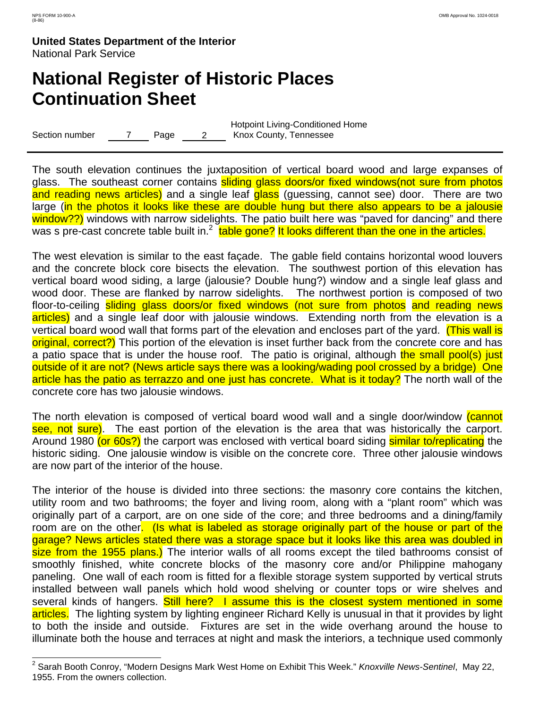# **National Register of Historic Places Continuation Sheet**

Section number 7 Page 2 Hotpoint Living-Conditioned Home Knox County, Tennessee

The south elevation continues the juxtaposition of vertical board wood and large expanses of glass. The southeast corner contains sliding glass doors/or fixed windows(not sure from photos and reading news articles) and a single leaf glass (guessing, cannot see) door. There are two large (in the photos it looks like these are double hung but there also appears to be a jalousie window??) windows with narrow sidelights. The patio built here was "paved for dancing" and there was s pre-cast concrete table built in.<sup>2</sup> table gone? It looks different than the one in the articles.

The west elevation is similar to the east façade. The gable field contains horizontal wood louvers and the concrete block core bisects the elevation. The southwest portion of this elevation has vertical board wood siding, a large (jalousie? Double hung?) window and a single leaf glass and wood door. These are flanked by narrow sidelights. The northwest portion is composed of two floor-to-ceiling sliding glass doors/or fixed windows (not sure from photos and reading news articles) and a single leaf door with jalousie windows. Extending north from the elevation is a vertical board wood wall that forms part of the elevation and encloses part of the yard. (This wall is original, correct?) This portion of the elevation is inset further back from the concrete core and has a patio space that is under the house roof. The patio is original, although the small pool(s) just outside of it are not? (News article says there was a looking/wading pool crossed by a bridge) One article has the patio as terrazzo and one just has concrete. What is it today? The north wall of the concrete core has two jalousie windows.

The north elevation is composed of vertical board wood wall and a single door/window (cannot see, not sure). The east portion of the elevation is the area that was historically the carport. Around 1980 (or 60s?) the carport was enclosed with vertical board siding similar to/replicating the historic siding. One jalousie window is visible on the concrete core. Three other jalousie windows are now part of the interior of the house.

The interior of the house is divided into three sections: the masonry core contains the kitchen, utility room and two bathrooms; the foyer and living room, along with a "plant room" which was originally part of a carport, are on one side of the core; and three bedrooms and a dining/family room are on the other. (Is what is labeled as storage originally part of the house or part of the garage? News articles stated there was a storage space but it looks like this area was doubled in size from the 1955 plans.) The interior walls of all rooms except the tiled bathrooms consist of smoothly finished, white concrete blocks of the masonry core and/or Philippine mahogany paneling. One wall of each room is fitted for a flexible storage system supported by vertical struts installed between wall panels which hold wood shelving or counter tops or wire shelves and several kinds of hangers. Still here? I assume this is the closest system mentioned in some articles. The lighting system by lighting engineer Richard Kelly is unusual in that it provides by light to both the inside and outside. Fixtures are set in the wide overhang around the house to illuminate both the house and terraces at night and mask the interiors, a technique used commonly

 2 Sarah Booth Conroy, "Modern Designs Mark West Home on Exhibit This Week." *Knoxville News-Sentinel*, May 22, 1955. From the owners collection.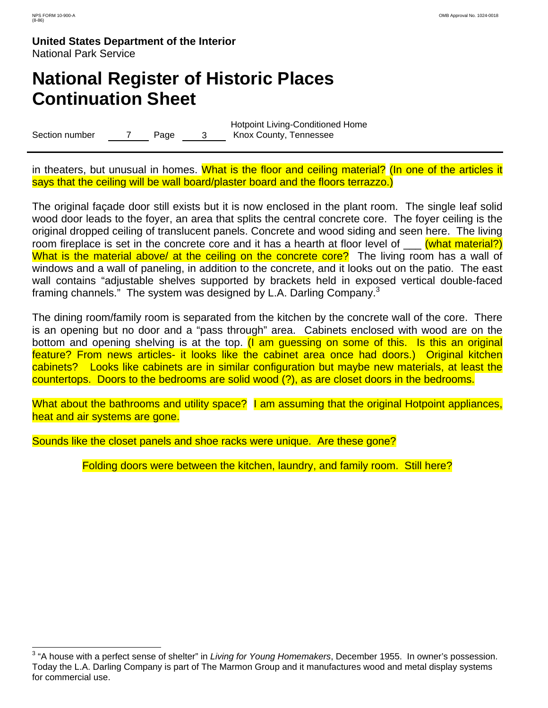## **National Register of Historic Places Continuation Sheet**

Section number  $\overline{7}$  Page 3

Hotpoint Living-Conditioned Home Knox County, Tennessee

in theaters, but unusual in homes. What is the floor and ceiling material? (In one of the articles it says that the ceiling will be wall board/plaster board and the floors terrazzo.)

The original façade door still exists but it is now enclosed in the plant room. The single leaf solid wood door leads to the foyer, an area that splits the central concrete core. The foyer ceiling is the original dropped ceiling of translucent panels. Concrete and wood siding and seen here. The living room fireplace is set in the concrete core and it has a hearth at floor level of  $\overline{\text{(what material?)}}$ What is the material above/ at the ceiling on the concrete core? The living room has a wall of windows and a wall of paneling, in addition to the concrete, and it looks out on the patio. The east wall contains "adjustable shelves supported by brackets held in exposed vertical double-faced framing channels." The system was designed by L.A. Darling Company.<sup>3</sup>

The dining room/family room is separated from the kitchen by the concrete wall of the core. There is an opening but no door and a "pass through" area. Cabinets enclosed with wood are on the bottom and opening shelving is at the top. (I am guessing on some of this. Is this an original feature? From news articles- it looks like the cabinet area once had doors.) Original kitchen cabinets? Looks like cabinets are in similar configuration but maybe new materials, at least the countertops. Doors to the bedrooms are solid wood (?), as are closet doors in the bedrooms.

What about the bathrooms and utility space? I am assuming that the original Hotpoint appliances, heat and air systems are gone.

Sounds like the closet panels and shoe racks were unique. Are these gone?

Folding doors were between the kitchen, laundry, and family room. Still here?

 3 "A house with a perfect sense of shelter" in *Living for Young Homemakers*, December 1955. In owner's possession. Today the L.A. Darling Company is part of The Marmon Group and it manufactures wood and metal display systems for commercial use.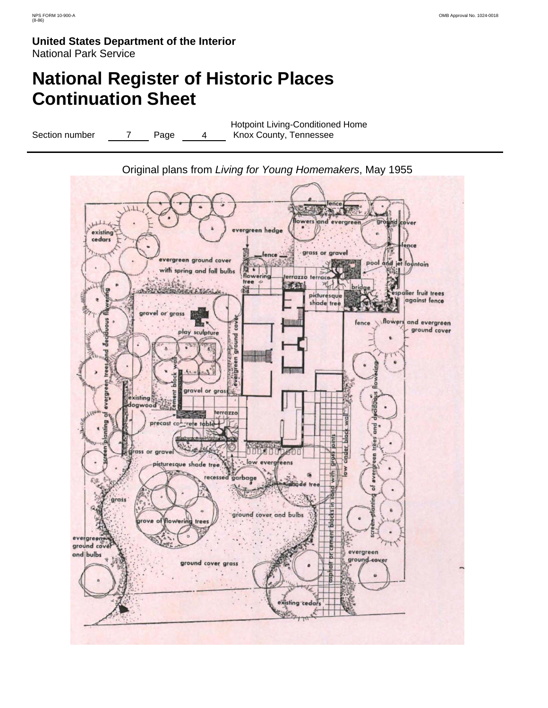# **National Register of Historic Places Continuation Sheet**

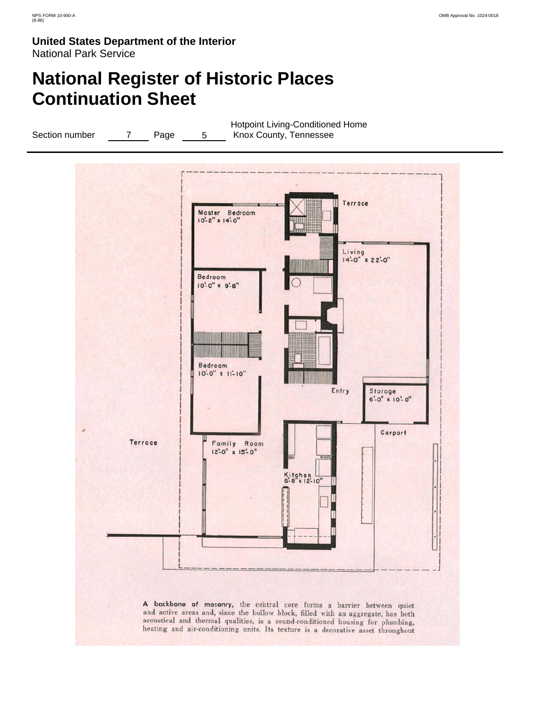### **National Register of Historic Places Continuation Sheet**

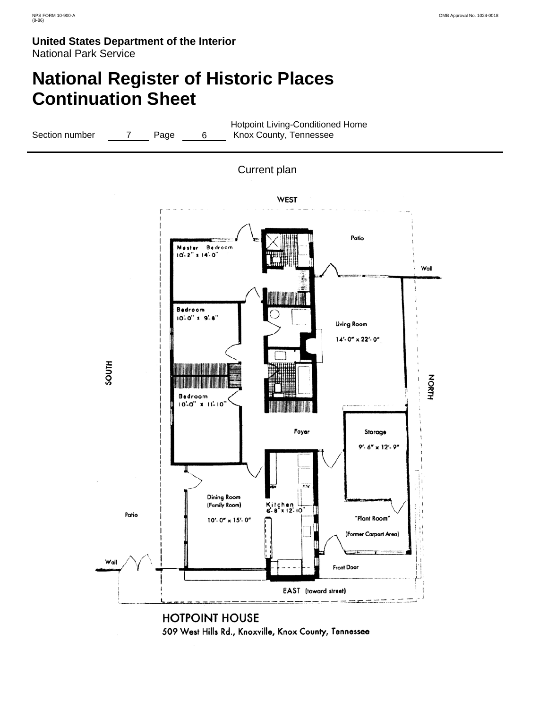## **National Register of Historic Places Continuation Sheet**



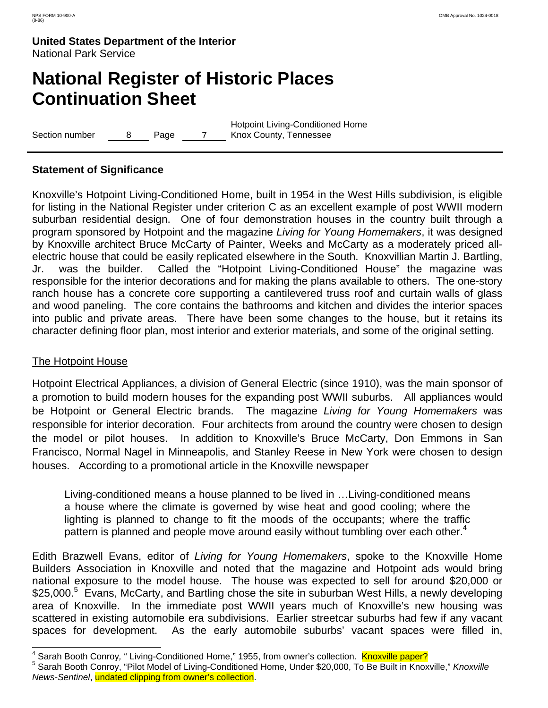# **National Register of Historic Places Continuation Sheet**

Section number 8 Page 7

Hotpoint Living-Conditioned Home Knox County, Tennessee

### **Statement of Significance**

Knoxville's Hotpoint Living-Conditioned Home, built in 1954 in the West Hills subdivision, is eligible for listing in the National Register under criterion C as an excellent example of post WWII modern suburban residential design. One of four demonstration houses in the country built through a program sponsored by Hotpoint and the magazine *Living for Young Homemakers*, it was designed by Knoxville architect Bruce McCarty of Painter, Weeks and McCarty as a moderately priced allelectric house that could be easily replicated elsewhere in the South. Knoxvillian Martin J. Bartling, Jr. was the builder. Called the "Hotpoint Living-Conditioned House" the magazine was responsible for the interior decorations and for making the plans available to others. The one-story ranch house has a concrete core supporting a cantilevered truss roof and curtain walls of glass and wood paneling. The core contains the bathrooms and kitchen and divides the interior spaces into public and private areas. There have been some changes to the house, but it retains its character defining floor plan, most interior and exterior materials, and some of the original setting.

### The Hotpoint House

Hotpoint Electrical Appliances, a division of General Electric (since 1910), was the main sponsor of a promotion to build modern houses for the expanding post WWII suburbs. All appliances would be Hotpoint or General Electric brands. The magazine *Living for Young Homemakers* was responsible for interior decoration. Four architects from around the country were chosen to design the model or pilot houses. In addition to Knoxville's Bruce McCarty, Don Emmons in San Francisco, Normal Nagel in Minneapolis, and Stanley Reese in New York were chosen to design houses. According to a promotional article in the Knoxville newspaper

Living-conditioned means a house planned to be lived in …Living-conditioned means a house where the climate is governed by wise heat and good cooling; where the lighting is planned to change to fit the moods of the occupants; where the traffic pattern is planned and people move around easily without tumbling over each other. $4$ 

Edith Brazwell Evans, editor of *Living for Young Homemakers*, spoke to the Knoxville Home Builders Association in Knoxville and noted that the magazine and Hotpoint ads would bring national exposure to the model house. The house was expected to sell for around \$20,000 or \$25,000.<sup>5</sup> Evans, McCarty, and Bartling chose the site in suburban West Hills, a newly developing area of Knoxville. In the immediate post WWII years much of Knoxville's new housing was scattered in existing automobile era subdivisions. Earlier streetcar suburbs had few if any vacant spaces for development. As the early automobile suburbs' vacant spaces were filled in,

 $\overline{\phantom{a}}$ 4 Sarah Booth Conroy, " Living-Conditioned Home," 1955, from owner's collection. Knoxville paper?

<sup>5</sup> Sarah Booth Conroy, "Pilot Model of Living-Conditioned Home, Under \$20,000, To Be Built in Knoxville," *Knoxville News-Sentinel*, undated clipping from owner's collection.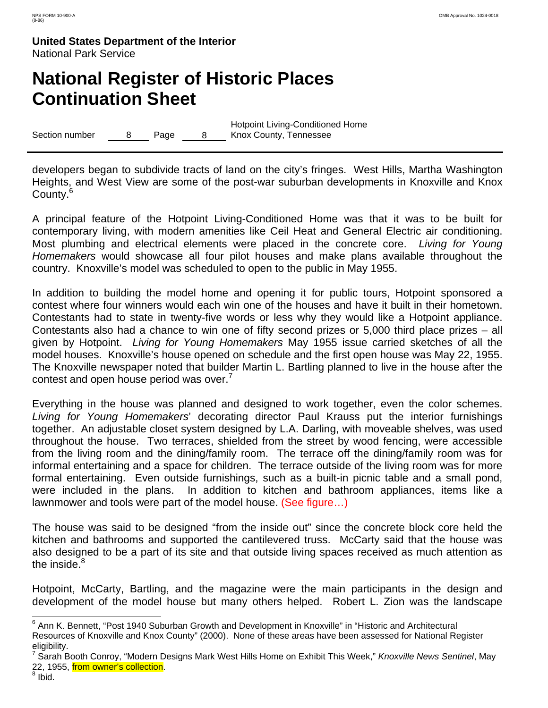## **National Register of Historic Places Continuation Sheet**

Section number 8 Page 8 Hotpoint Living-Conditioned Home Knox County, Tennessee

developers began to subdivide tracts of land on the city's fringes. West Hills, Martha Washington Heights, and West View are some of the post-war suburban developments in Knoxville and Knox County.<sup>6</sup>

A principal feature of the Hotpoint Living-Conditioned Home was that it was to be built for contemporary living, with modern amenities like Ceil Heat and General Electric air conditioning. Most plumbing and electrical elements were placed in the concrete core. *Living for Young Homemakers* would showcase all four pilot houses and make plans available throughout the country. Knoxville's model was scheduled to open to the public in May 1955.

In addition to building the model home and opening it for public tours, Hotpoint sponsored a contest where four winners would each win one of the houses and have it built in their hometown. Contestants had to state in twenty-five words or less why they would like a Hotpoint appliance. Contestants also had a chance to win one of fifty second prizes or 5,000 third place prizes – all given by Hotpoint. *Living for Young Homemakers* May 1955 issue carried sketches of all the model houses. Knoxville's house opened on schedule and the first open house was May 22, 1955. The Knoxville newspaper noted that builder Martin L. Bartling planned to live in the house after the contest and open house period was over. $<sup>7</sup>$ </sup>

Everything in the house was planned and designed to work together, even the color schemes. *Living for Young Homemakers*' decorating director Paul Krauss put the interior furnishings together. An adjustable closet system designed by L.A. Darling, with moveable shelves, was used throughout the house. Two terraces, shielded from the street by wood fencing, were accessible from the living room and the dining/family room. The terrace off the dining/family room was for informal entertaining and a space for children. The terrace outside of the living room was for more formal entertaining. Even outside furnishings, such as a built-in picnic table and a small pond, were included in the plans. In addition to kitchen and bathroom appliances, items like a lawnmower and tools were part of the model house. (See figure…)

The house was said to be designed "from the inside out" since the concrete block core held the kitchen and bathrooms and supported the cantilevered truss. McCarty said that the house was also designed to be a part of its site and that outside living spaces received as much attention as the inside. $8<sup>8</sup>$ 

Hotpoint, McCarty, Bartling, and the magazine were the main participants in the design and development of the model house but many others helped. Robert L. Zion was the landscape

 $8$  Ibid.

<sup>&</sup>lt;u>.</u><br><sup>6</sup> Ann K. Bennett, "Post 1940 Suburban Growth and Development in Knoxville" in "Historic and Architectural Resources of Knoxville and Knox County" (2000). None of these areas have been assessed for National Register eligibility.<br><sup>7</sup> Sareb B

Sarah Booth Conroy, "Modern Designs Mark West Hills Home on Exhibit This Week," *Knoxville News Sentinel*, May 22, 1955, from owner's collection.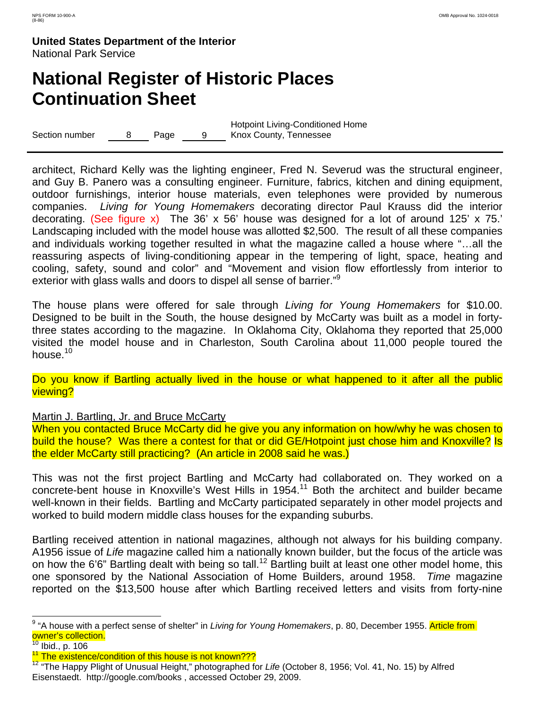### **National Register of Historic Places Continuation Sheet**

Section number 8 Page 9 Hotpoint Living-Conditioned Home Knox County, Tennessee

architect, Richard Kelly was the lighting engineer, Fred N. Severud was the structural engineer, and Guy B. Panero was a consulting engineer. Furniture, fabrics, kitchen and dining equipment, outdoor furnishings, interior house materials, even telephones were provided by numerous companies. *Living for Young Homemakers* decorating director Paul Krauss did the interior decorating. (See figure x) The 36' x 56' house was designed for a lot of around 125' x 75.' Landscaping included with the model house was allotted \$2,500. The result of all these companies and individuals working together resulted in what the magazine called a house where "…all the reassuring aspects of living-conditioning appear in the tempering of light, space, heating and cooling, safety, sound and color" and "Movement and vision flow effortlessly from interior to exterior with glass walls and doors to dispel all sense of barrier."<sup>9</sup>

The house plans were offered for sale through *Living for Young Homemakers* for \$10.00. Designed to be built in the South, the house designed by McCarty was built as a model in fortythree states according to the magazine. In Oklahoma City, Oklahoma they reported that 25,000 visited the model house and in Charleston, South Carolina about 11,000 people toured the house.<sup>10</sup>

Do you know if Bartling actually lived in the house or what happened to it after all the public viewing?

### Martin J. Bartling, Jr. and Bruce McCarty

When you contacted Bruce McCarty did he give you any information on how/why he was chosen to build the house? Was there a contest for that or did GE/Hotpoint just chose him and Knoxville? Is the elder McCarty still practicing? (An article in 2008 said he was.)

This was not the first project Bartling and McCarty had collaborated on. They worked on a concrete-bent house in Knoxville's West Hills in 1954.<sup>11</sup> Both the architect and builder became well-known in their fields. Bartling and McCarty participated separately in other model projects and worked to build modern middle class houses for the expanding suburbs.

Bartling received attention in national magazines, although not always for his building company. A1956 issue of *Life* magazine called him a nationally known builder, but the focus of the article was on how the 6'6" Bartling dealt with being so tall.<sup>12</sup> Bartling built at least one other model home, this one sponsored by the National Association of Home Builders, around 1958. *Time* magazine reported on the \$13,500 house after which Bartling received letters and visits from forty-nine

 9 "A house with a perfect sense of shelter" in *Living for Young Homemakers*, p. 80, December 1955. Article from <mark>owner's collection.</mark><br><sup>10</sup> Ibid., p. 106

<sup>&</sup>lt;sup>11</sup> The existence/condition of this house is not known???

<sup>&</sup>lt;sup>12</sup> "The Happy Plight of Unusual Height," photographed for Life (October 8, 1956; Vol. 41, No. 15) by Alfred Eisenstaedt. http://google.com/books , accessed October 29, 2009.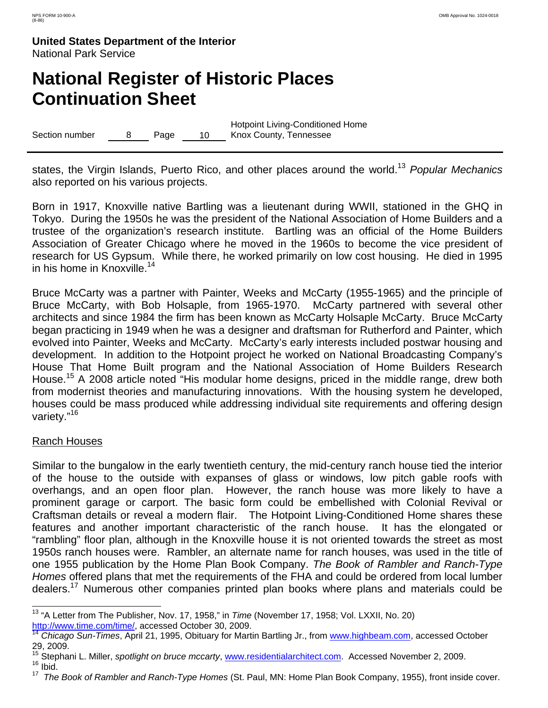## **National Register of Historic Places Continuation Sheet**

Section number 8 Page 10 Hotpoint Living-Conditioned Home Knox County, Tennessee

states, the Virgin Islands, Puerto Rico, and other places around the world.<sup>13</sup> *Popular Mechanics* also reported on his various projects.

Born in 1917, Knoxville native Bartling was a lieutenant during WWII, stationed in the GHQ in Tokyo. During the 1950s he was the president of the National Association of Home Builders and a trustee of the organization's research institute. Bartling was an official of the Home Builders Association of Greater Chicago where he moved in the 1960s to become the vice president of research for US Gypsum. While there, he worked primarily on low cost housing. He died in 1995 in his home in Knoxville.<sup>14</sup>

Bruce McCarty was a partner with Painter, Weeks and McCarty (1955-1965) and the principle of Bruce McCarty, with Bob Holsaple, from 1965-1970. McCarty partnered with several other architects and since 1984 the firm has been known as McCarty Holsaple McCarty. Bruce McCarty began practicing in 1949 when he was a designer and draftsman for Rutherford and Painter, which evolved into Painter, Weeks and McCarty. McCarty's early interests included postwar housing and development. In addition to the Hotpoint project he worked on National Broadcasting Company's House That Home Built program and the National Association of Home Builders Research House.<sup>15</sup> A 2008 article noted "His modular home designs, priced in the middle range, drew both from modernist theories and manufacturing innovations. With the housing system he developed, houses could be mass produced while addressing individual site requirements and offering design variety."<sup>16</sup>

### Ranch Houses

Similar to the bungalow in the early twentieth century, the mid-century ranch house tied the interior of the house to the outside with expanses of glass or windows, low pitch gable roofs with overhangs, and an open floor plan. However, the ranch house was more likely to have a prominent garage or carport. The basic form could be embellished with Colonial Revival or Craftsman details or reveal a modern flair. The Hotpoint Living-Conditioned Home shares these features and another important characteristic of the ranch house. It has the elongated or "rambling" floor plan, although in the Knoxville house it is not oriented towards the street as most 1950s ranch houses were. Rambler, an alternate name for ranch houses, was used in the title of one 1955 publication by the Home Plan Book Company. *The Book of Rambler and Ranch-Type Homes* offered plans that met the requirements of the FHA and could be ordered from local lumber dealers.<sup>17</sup> Numerous other companies printed plan books where plans and materials could be

 $\overline{\phantom{a}}$ 13 "A Letter from The Publisher, Nov. 17, 1958," in *Time* (November 17, 1958; Vol. LXXII, No. 20) http://www.time.com/time/, accessed October 30, 2009.

<sup>&</sup>lt;sup>14</sup> Chicago Sun-Times, April 21, 1995, Obituary for Martin Bartling Jr., from www.highbeam.com, accessed October 29, 2009.

<sup>15</sup> Stephani L. Miller, *spotlight on bruce mccarty*, www.residentialarchitect.com. Accessed November 2, 2009.  $\frac{16}{17}$  Ibid.

<sup>17</sup> *The Book of Rambler and Ranch-Type Homes* (St. Paul, MN: Home Plan Book Company, 1955), front inside cover.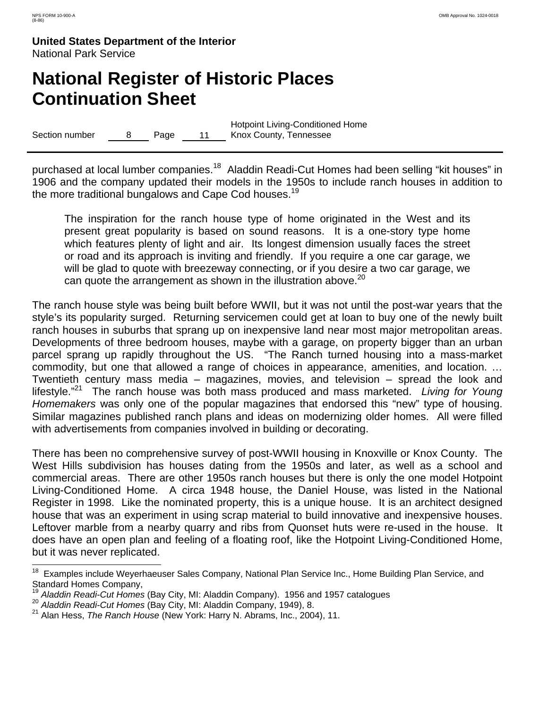### **National Register of Historic Places Continuation Sheet**

Section number 8 Page 11 Hotpoint Living-Conditioned Home Knox County, Tennessee

purchased at local lumber companies.<sup>18</sup> Aladdin Readi-Cut Homes had been selling "kit houses" in 1906 and the company updated their models in the 1950s to include ranch houses in addition to the more traditional bungalows and Cape Cod houses.<sup>19</sup>

The inspiration for the ranch house type of home originated in the West and its present great popularity is based on sound reasons. It is a one-story type home which features plenty of light and air. Its longest dimension usually faces the street or road and its approach is inviting and friendly. If you require a one car garage, we will be glad to quote with breezeway connecting, or if you desire a two car garage, we can quote the arrangement as shown in the illustration above.<sup>20</sup>

The ranch house style was being built before WWII, but it was not until the post-war years that the style's its popularity surged. Returning servicemen could get at loan to buy one of the newly built ranch houses in suburbs that sprang up on inexpensive land near most major metropolitan areas. Developments of three bedroom houses, maybe with a garage, on property bigger than an urban parcel sprang up rapidly throughout the US. "The Ranch turned housing into a mass-market commodity, but one that allowed a range of choices in appearance, amenities, and location. … Twentieth century mass media – magazines, movies, and television – spread the look and lifestyle."21 The ranch house was both mass produced and mass marketed. *Living for Young Homemakers* was only one of the popular magazines that endorsed this "new" type of housing. Similar magazines published ranch plans and ideas on modernizing older homes. All were filled with advertisements from companies involved in building or decorating.

There has been no comprehensive survey of post-WWII housing in Knoxville or Knox County. The West Hills subdivision has houses dating from the 1950s and later, as well as a school and commercial areas. There are other 1950s ranch houses but there is only the one model Hotpoint Living-Conditioned Home. A circa 1948 house, the Daniel House, was listed in the National Register in 1998. Like the nominated property, this is a unique house. It is an architect designed house that was an experiment in using scrap material to build innovative and inexpensive houses. Leftover marble from a nearby quarry and ribs from Quonset huts were re-used in the house. It does have an open plan and feeling of a floating roof, like the Hotpoint Living-Conditioned Home, but it was never replicated.

 $18$ 18 Examples include Weyerhaeuser Sales Company, National Plan Service Inc., Home Building Plan Service, and Standard Homes Company,

<sup>&</sup>lt;sup>19</sup> Aladdin Readi-Cut Homes (Bay City, MI: Aladdin Company). 1956 and 1957 catalogues<br><sup>20</sup> Aladdin Readi-Cut Homes (Bay City, MI: Aladdin Company, 1949), 8.<br><sup>21</sup> Alan Hess, *The Ranch House* (New York: Harry N. Abrams, In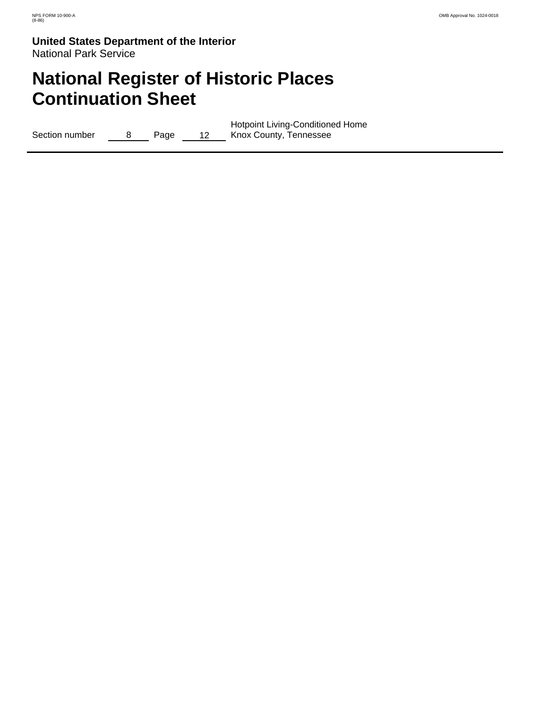## **National Register of Historic Places Continuation Sheet**

Section number 8 Page 12 Hotpoint Living-Conditioned Home Knox County, Tennessee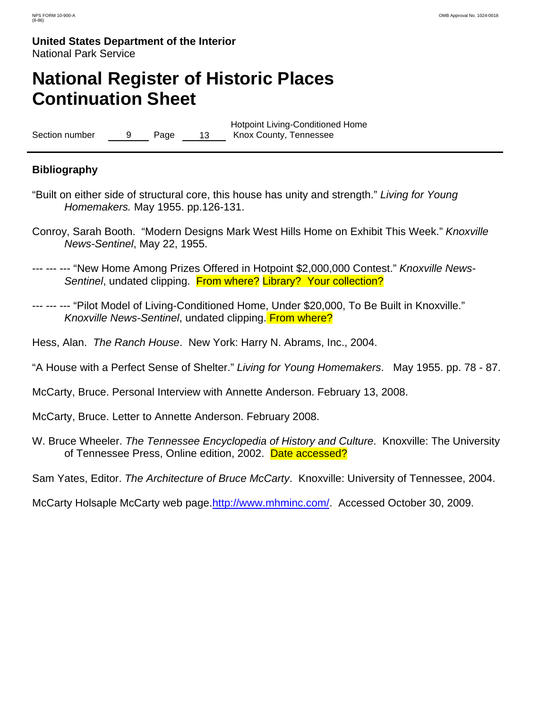## **National Register of Historic Places Continuation Sheet**

Section number 9 Page 13 Hotpoint Living-Conditioned Home Knox County, Tennessee

#### **Bibliography**

- "Built on either side of structural core, this house has unity and strength." *Living for Young Homemakers.* May 1955. pp.126-131.
- Conroy, Sarah Booth. "Modern Designs Mark West Hills Home on Exhibit This Week." *Knoxville News-Sentinel*, May 22, 1955.
- --- --- --- "New Home Among Prizes Offered in Hotpoint \$2,000,000 Contest." *Knoxville News-*Sentinel, undated clipping. From where? Library? Your collection?
- --- --- --- "Pilot Model of Living-Conditioned Home, Under \$20,000, To Be Built in Knoxville." *Knoxville News-Sentinel*, undated clipping. From where?
- Hess, Alan. *The Ranch House*. New York: Harry N. Abrams, Inc., 2004.
- "A House with a Perfect Sense of Shelter." *Living for Young Homemakers*. May 1955. pp. 78 87.
- McCarty, Bruce. Personal Interview with Annette Anderson. February 13, 2008.
- McCarty, Bruce. Letter to Annette Anderson. February 2008.
- W. Bruce Wheeler. *The Tennessee Encyclopedia of History and Culture*. Knoxville: The University of Tennessee Press, Online edition, 2002. Date accessed?
- Sam Yates, Editor. *The Architecture of Bruce McCarty*. Knoxville: University of Tennessee, 2004.

McCarty Holsaple McCarty web page.http://www.mhminc.com/. Accessed October 30, 2009.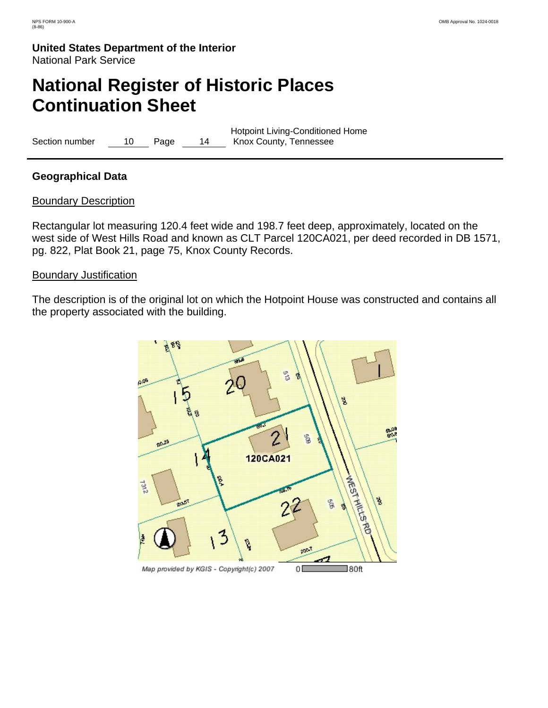## **National Register of Historic Places Continuation Sheet**

Section number 10 Page 14 Hotpoint Living-Conditioned Home Knox County, Tennessee

### **Geographical Data**

#### Boundary Description

Rectangular lot measuring 120.4 feet wide and 198.7 feet deep, approximately, located on the west side of West Hills Road and known as CLT Parcel 120CA021, per deed recorded in DB 1571, pg. 822, Plat Book 21, page 75, Knox County Records.

#### Boundary Justification

The description is of the original lot on which the Hotpoint House was constructed and contains all the property associated with the building.

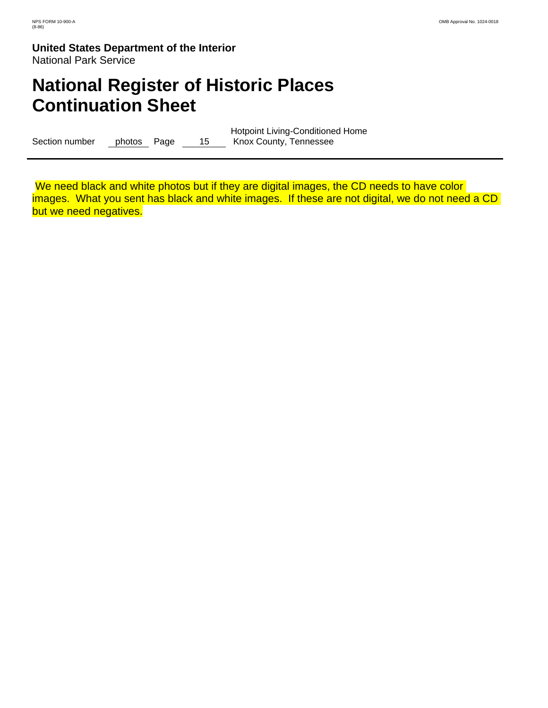## **National Register of Historic Places Continuation Sheet**

Section number photos Page 15 Hotpoint Living-Conditioned Home Knox County, Tennessee

We need black and white photos but if they are digital images, the CD needs to have color images. What you sent has black and white images. If these are not digital, we do not need a CD but we need negatives.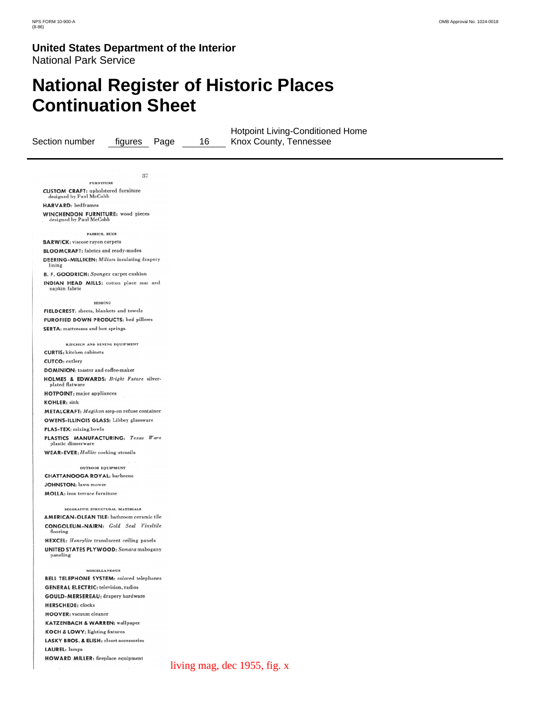### **National Register of Historic Places Continuation Sheet**

Section number figures Page 16 Hotpoint Living-Conditioned Home Knox County, Tennessee

37 **FURNITURE CUSTOM CRAFT:** upholstered furniture<br>designed by Paul McCobb HARVARD: bedframes WINCHENDON FURNITURE: wood pieces<br>designed by Paul McCobb **FABRICS, RUGS BARWICK:** viscose rayon carpets **BLOOMCRAFT:** fabrics and ready-mades DEERING-MILLIKEN: Milium insulating drapery lining B. F. GOODRICH: Spongex carpet cushion INDIAN HEAD MILLS: cotton place mat and napkin fabric **BEDDING** FIELDCREST: sheets, blankets and towels **PUROFIED DOWN PRODUCTS: bed pillows SERTA:** mattresses and box springs KITCHEN AND DINING EQUIPMENT **CURTIS:** kitchen cabinets **CUTCO:** cutlery DOMINION: toaster and coffee-maker HOLMES & EDWARDS: Bright Future silverplated flatware **HOTPOINT:** major appliances **KOHLER:** sink METALCRAFT: Magikan step-on refuse container **OWENS-ILLINOIS GLASS:** Libbey glassware PLAS-TEX: mixing bowls PLASTICS MANUFACTURING: Texas Ware plastic dinnerware **WEAR-EVER:** Hallite cooking utensils **OUTDOOR EQUIPMENT CHATTANOOGA ROYAL:** barbecue **JOHNSTON: lawn mower MOLLA:** iron terrace furniture DECORATIVE STRUCTURAL MATERIALS **AMERICAN-OLEAN TILE:** bathroom ceramic tile CONGOLEUM-NAIRN: Gold Seal Vinyltile flooring HEXCEL: Honeylite translucent ceiling panels **UNITED STATES PLYWOOD:** Samara mahogany paneling **MISCELLANEOUS BELL TELEPHONE SYSTEM:** colored telephones **GENERAL ELECTRIC:** television, radios GOULD-MERSEREAU: drapery hardware **HERSCHEDE:** clocks **HOOVER:** vacuum cleaner **KATZENBACH & WARREN:** wallpaper KOCH & LOWY: lighting fixtures LASKY BROS. & ELISH: closet accessories **LAUREL: lamps HOWARD MILLER:** fireplace equipment

living mag, dec 1955, fig. x